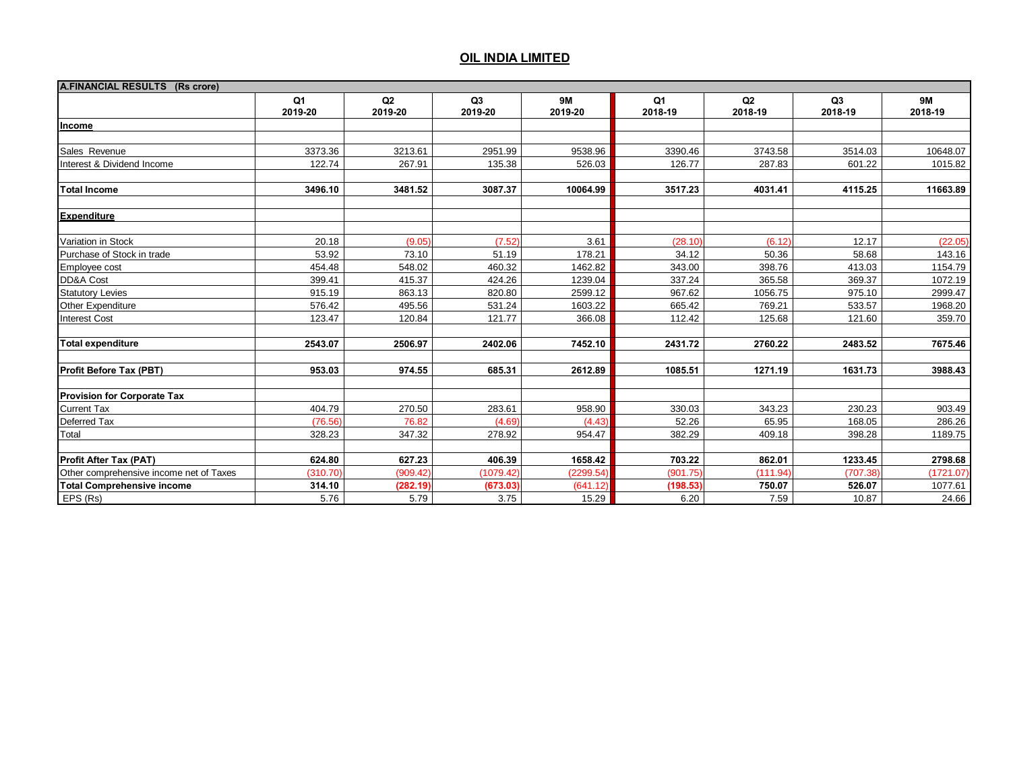| A.FINANCIAL RESULTS (Rs crore)          |               |                           |                           |                      |               |               |                           |                      |
|-----------------------------------------|---------------|---------------------------|---------------------------|----------------------|---------------|---------------|---------------------------|----------------------|
|                                         | Q1<br>2019-20 | Q <sub>2</sub><br>2019-20 | Q <sub>3</sub><br>2019-20 | <b>9M</b><br>2019-20 | Q1<br>2018-19 | Q2<br>2018-19 | Q <sub>3</sub><br>2018-19 | <b>9M</b><br>2018-19 |
| Income                                  |               |                           |                           |                      |               |               |                           |                      |
|                                         |               |                           |                           |                      |               |               |                           |                      |
| Sales Revenue                           | 3373.36       | 3213.61                   | 2951.99                   | 9538.96              | 3390.46       | 3743.58       | 3514.03                   | 10648.07             |
| Interest & Dividend Income              | 122.74        | 267.91                    | 135.38                    | 526.03               | 126.77        | 287.83        | 601.22                    | 1015.82              |
|                                         |               |                           |                           |                      |               |               |                           |                      |
| <b>Total Income</b>                     | 3496.10       | 3481.52                   | 3087.37                   | 10064.99             | 3517.23       | 4031.41       | 4115.25                   | 11663.89             |
| <b>Expenditure</b>                      |               |                           |                           |                      |               |               |                           |                      |
| Variation in Stock                      | 20.18         | (9.05)                    | (7.52)                    | 3.61                 | (28.10)       | (6.12)        | 12.17                     | (22.05)              |
| Purchase of Stock in trade              | 53.92         | 73.10                     | 51.19                     | 178.21               | 34.12         | 50.36         | 58.68                     | 143.16               |
| Employee cost                           | 454.48        | 548.02                    | 460.32                    | 1462.82              | 343.00        | 398.76        | 413.03                    | 1154.79              |
| DD&A Cost                               | 399.41        | 415.37                    | 424.26                    | 1239.04              | 337.24        | 365.58        | 369.37                    | 1072.19              |
| <b>Statutory Levies</b>                 | 915.19        | 863.13                    | 820.80                    | 2599.12              | 967.62        | 1056.75       | 975.10                    | 2999.47              |
| Other Expenditure                       | 576.42        | 495.56                    | 531.24                    | 1603.22              | 665.42        | 769.21        | 533.57                    | 1968.20              |
| <b>Interest Cost</b>                    | 123.47        | 120.84                    | 121.77                    | 366.08               | 112.42        | 125.68        | 121.60                    | 359.70               |
| <b>Total expenditure</b>                | 2543.07       | 2506.97                   | 2402.06                   | 7452.10              | 2431.72       | 2760.22       | 2483.52                   | 7675.46              |
| Profit Before Tax (PBT)                 | 953.03        | 974.55                    | 685.31                    | 2612.89              | 1085.51       | 1271.19       | 1631.73                   | 3988.43              |
| <b>Provision for Corporate Tax</b>      |               |                           |                           |                      |               |               |                           |                      |
| <b>Current Tax</b>                      | 404.79        | 270.50                    | 283.61                    | 958.90               | 330.03        | 343.23        | 230.23                    | 903.49               |
| Deferred Tax                            | (76.56)       | 76.82                     | (4.69)                    | (4.43)               | 52.26         | 65.95         | 168.05                    | 286.26               |
| Total                                   | 328.23        | 347.32                    | 278.92                    | 954.47               | 382.29        | 409.18        | 398.28                    | 1189.75              |
| <b>Profit After Tax (PAT)</b>           | 624.80        | 627.23                    | 406.39                    | 1658.42              | 703.22        | 862.01        | 1233.45                   | 2798.68              |
| Other comprehensive income net of Taxes | (310.70)      | (909.42)                  | (1079.42)                 | (2299.54)            | (901.75)      | (111.94)      | (707.38)                  | (1721.07)            |
| <b>Total Comprehensive income</b>       | 314.10        | (282.19)                  | (673.03)                  | (641.12)             | (198.53)      | 750.07        | 526.07                    | 1077.61              |
| EPS (Rs)                                | 5.76          | 5.79                      | 3.75                      | 15.29                | 6.20          | 7.59          | 10.87                     | 24.66                |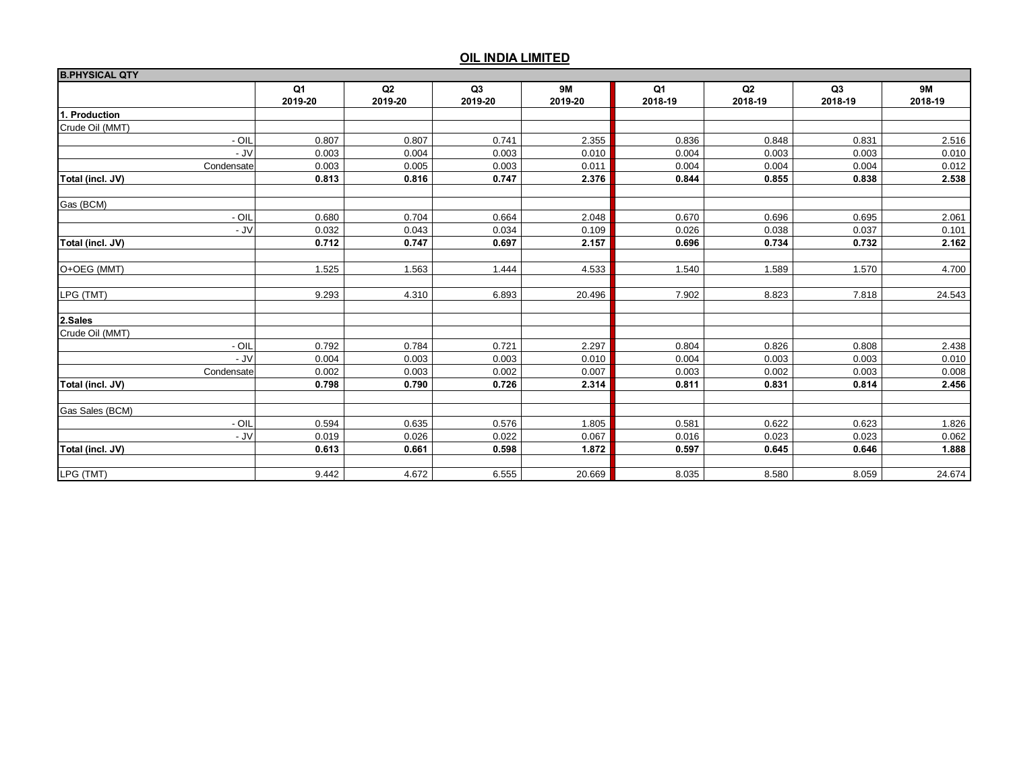| <b>B.PHYSICAL QTY</b> |                  |               |                           |                      |               |               |               |                      |
|-----------------------|------------------|---------------|---------------------------|----------------------|---------------|---------------|---------------|----------------------|
|                       | Q1<br>2019-20    | Q2<br>2019-20 | Q <sub>3</sub><br>2019-20 | <b>9M</b><br>2019-20 | Q1<br>2018-19 | Q2<br>2018-19 | Q3<br>2018-19 | <b>9M</b><br>2018-19 |
| 1. Production         |                  |               |                           |                      |               |               |               |                      |
| Crude Oil (MMT)       |                  |               |                           |                      |               |               |               |                      |
|                       | $-$ OIL<br>0.807 | 0.807         | 0.741                     | 2.355                | 0.836         | 0.848         | 0.831         | 2.516                |
|                       | - JV<br>0.003    | 0.004         | 0.003                     | 0.010                | 0.004         | 0.003         | 0.003         | 0.010                |
| Condensate            | 0.003            | 0.005         | 0.003                     | 0.011                | 0.004         | 0.004         | 0.004         | 0.012                |
| Total (incl. JV)      | 0.813            | 0.816         | 0.747                     | 2.376                | 0.844         | 0.855         | 0.838         | 2.538                |
| Gas (BCM)             |                  |               |                           |                      |               |               |               |                      |
|                       | $-$ OIL<br>0.680 | 0.704         | 0.664                     | 2.048                | 0.670         | 0.696         | 0.695         | 2.061                |
|                       | - JV<br>0.032    | 0.043         | 0.034                     | 0.109                | 0.026         | 0.038         | 0.037         | 0.101                |
| Total (incl. JV)      | 0.712            | 0.747         | 0.697                     | 2.157                | 0.696         | 0.734         | 0.732         | 2.162                |
| O+OEG (MMT)           | 1.525            | 1.563         | 1.444                     | 4.533                | 1.540         | 1.589         | 1.570         | 4.700                |
| LPG (TMT)             | 9.293            | 4.310         | 6.893                     | 20.496               | 7.902         | 8.823         | 7.818         | 24.543               |
| 2.Sales               |                  |               |                           |                      |               |               |               |                      |
| Crude Oil (MMT)       |                  |               |                           |                      |               |               |               |                      |
|                       | - OIL<br>0.792   | 0.784         | 0.721                     | 2.297                | 0.804         | 0.826         | 0.808         | 2.438                |
|                       | $-JV$<br>0.004   | 0.003         | 0.003                     | 0.010                | 0.004         | 0.003         | 0.003         | 0.010                |
| Condensate            | 0.002            | 0.003         | 0.002                     | 0.007                | 0.003         | 0.002         | 0.003         | 0.008                |
| Total (incl. JV)      | 0.798            | 0.790         | 0.726                     | 2.314                | 0.811         | 0.831         | 0.814         | 2.456                |
| Gas Sales (BCM)       |                  |               |                           |                      |               |               |               |                      |
|                       | $-$ OIL<br>0.594 | 0.635         | 0.576                     | 1.805                | 0.581         | 0.622         | 0.623         | 1.826                |
|                       | $-JV$<br>0.019   | 0.026         | 0.022                     | 0.067                | 0.016         | 0.023         | 0.023         | 0.062                |
| Total (incl. JV)      | 0.613            | 0.661         | 0.598                     | 1.872                | 0.597         | 0.645         | 0.646         | 1.888                |
| LPG (TMT)             | 9.442            | 4.672         | 6.555                     | 20.669               | 8.035         | 8.580         | 8.059         | 24.674               |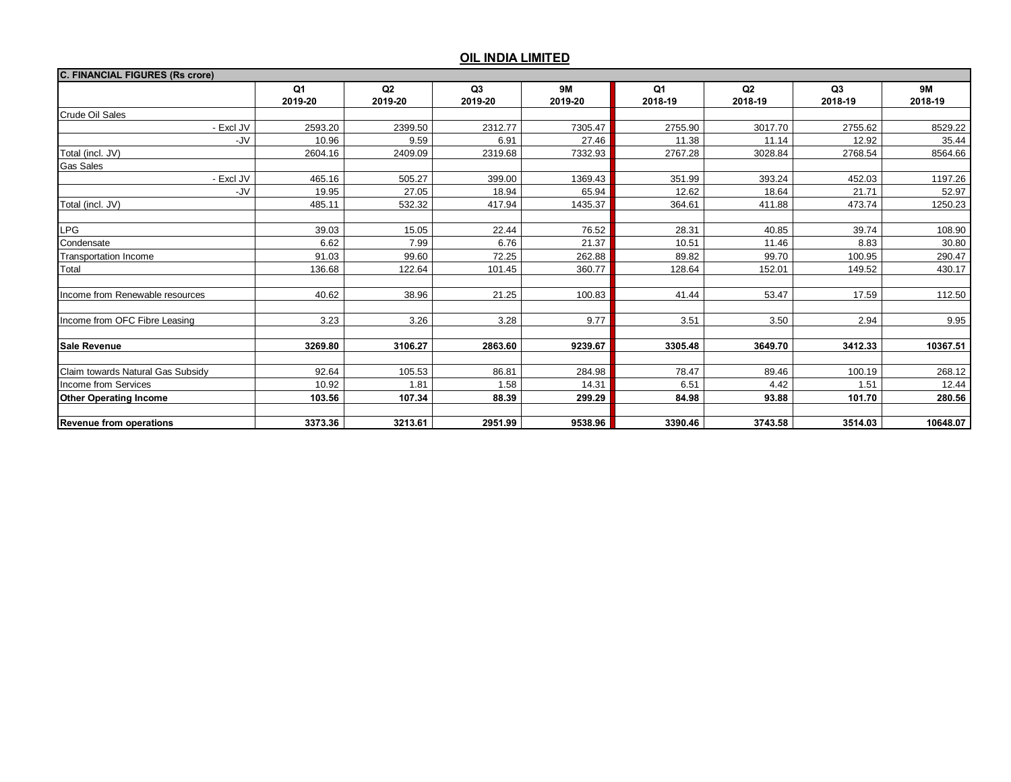| <b>C. FINANCIAL FIGURES (Rs crore)</b> |               |               |                           |                      |                           |               |               |                      |
|----------------------------------------|---------------|---------------|---------------------------|----------------------|---------------------------|---------------|---------------|----------------------|
|                                        | Q1<br>2019-20 | Q2<br>2019-20 | Q <sub>3</sub><br>2019-20 | <b>9M</b><br>2019-20 | Q <sub>1</sub><br>2018-19 | Q2<br>2018-19 | Q3<br>2018-19 | <b>9M</b><br>2018-19 |
| Crude Oil Sales                        |               |               |                           |                      |                           |               |               |                      |
| - Excl JV                              | 2593.20       | 2399.50       | 2312.77                   | 7305.47              | 2755.90                   | 3017.70       | 2755.62       | 8529.22              |
| -JV                                    | 10.96         | 9.59          | 6.91                      | 27.46                | 11.38                     | 11.14         | 12.92         | 35.44                |
| Total (incl. JV)                       | 2604.16       | 2409.09       | 2319.68                   | 7332.93              | 2767.28                   | 3028.84       | 2768.54       | 8564.66              |
| Gas Sales                              |               |               |                           |                      |                           |               |               |                      |
| - Excl JV                              | 465.16        | 505.27        | 399.00                    | 1369.43              | 351.99                    | 393.24        | 452.03        | 1197.26              |
| -JV                                    | 19.95         | 27.05         | 18.94                     | 65.94                | 12.62                     | 18.64         | 21.71         | 52.97                |
| Total (incl. JV)                       | 485.11        | 532.32        | 417.94                    | 1435.37              | 364.61                    | 411.88        | 473.74        | 1250.23              |
|                                        |               |               |                           |                      |                           |               |               |                      |
| <b>LPG</b>                             | 39.03         | 15.05         | 22.44                     | 76.52                | 28.31                     | 40.85         | 39.74         | 108.90               |
| Condensate                             | 6.62          | 7.99          | 6.76                      | 21.37                | 10.51                     | 11.46         | 8.83          | 30.80                |
| Transportation Income                  | 91.03         | 99.60         | 72.25                     | 262.88               | 89.82                     | 99.70         | 100.95        | 290.47               |
| Total                                  | 136.68        | 122.64        | 101.45                    | 360.77               | 128.64                    | 152.01        | 149.52        | 430.17               |
|                                        |               |               |                           |                      |                           |               |               |                      |
| Income from Renewable resources        | 40.62         | 38.96         | 21.25                     | 100.83               | 41.44                     | 53.47         | 17.59         | 112.50               |
|                                        |               |               |                           |                      |                           |               |               |                      |
| Income from OFC Fibre Leasing          | 3.23          | 3.26          | 3.28                      | 9.77                 | 3.51                      | 3.50          | 2.94          | 9.95                 |
|                                        |               |               |                           |                      |                           |               |               |                      |
| <b>Sale Revenue</b>                    | 3269.80       | 3106.27       | 2863.60                   | 9239.67              | 3305.48                   | 3649.70       | 3412.33       | 10367.51             |
| Claim towards Natural Gas Subsidy      | 92.64         | 105.53        | 86.81                     | 284.98               | 78.47                     | 89.46         | 100.19        | 268.12               |
| Income from Services                   | 10.92         | 1.81          | 1.58                      | 14.31                | 6.51                      | 4.42          | 1.51          | 12.44                |
| <b>Other Operating Income</b>          | 103.56        | 107.34        | 88.39                     | 299.29               | 84.98                     | 93.88         | 101.70        | 280.56               |
|                                        |               |               |                           |                      |                           |               |               |                      |
| <b>Revenue from operations</b>         | 3373.36       | 3213.61       | 2951.99                   | 9538.96              | 3390.46                   | 3743.58       | 3514.03       | 10648.07             |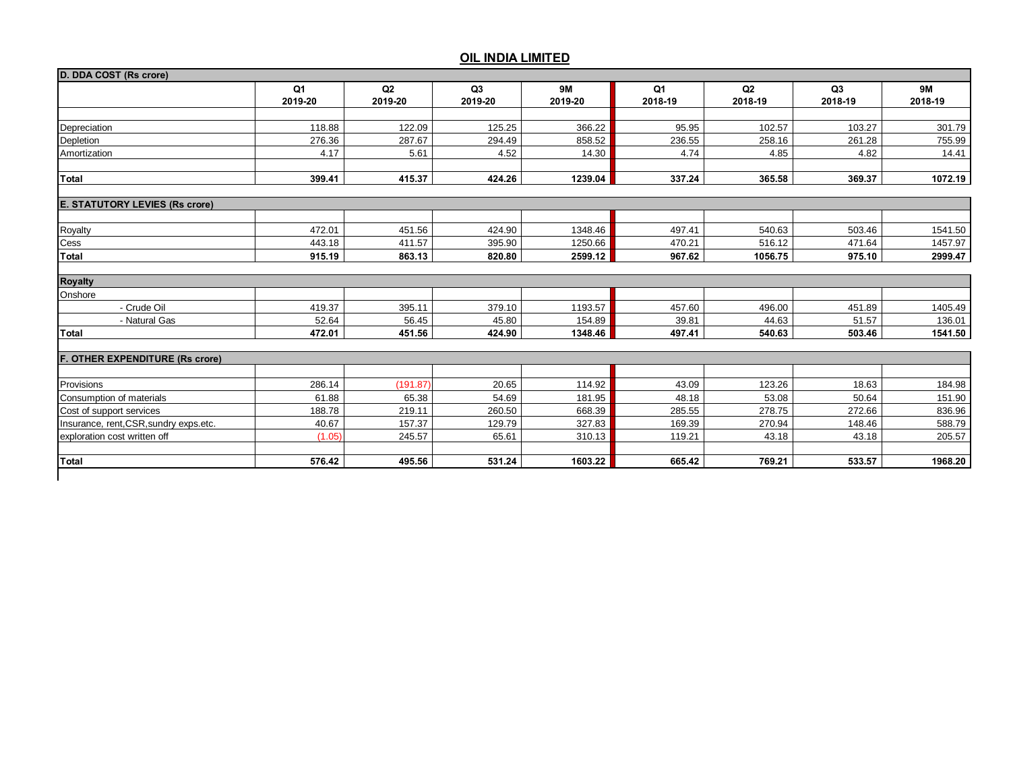|                                        | Q1<br>2019-20 | Q2<br>2019-20 | Q3<br>2019-20 | <b>9M</b><br>2019-20 | Q1<br>2018-19 | Q2<br>2018-19 | Q3<br>2018-19 | <b>9M</b><br>2018-19 |
|----------------------------------------|---------------|---------------|---------------|----------------------|---------------|---------------|---------------|----------------------|
|                                        |               |               |               |                      |               |               |               |                      |
| Depreciation                           | 118.88        | 122.09        | 125.25        | 366.22               | 95.95         | 102.57        | 103.27        | 301.79               |
| Depletion                              | 276.36        | 287.67        | 294.49        | 858.52               | 236.55        | 258.16        | 261.28        | 755.99               |
| Amortization                           | 4.17          | 5.61          | 4.52          | 14.30                | 4.74          | 4.85          | 4.82          | 14.41                |
| <b>Total</b>                           | 399.41        | 415.37        | 424.26        | 1239.04              | 337.24        | 365.58        | 369.37        | 1072.19              |
|                                        |               |               |               |                      |               |               |               |                      |
| <b>E. STATUTORY LEVIES (Rs crore)</b>  |               |               |               |                      |               |               |               |                      |
| Royalty                                | 472.01        | 451.56        | 424.90        | 1348.46              | 497.41        | 540.63        | 503.46        | 1541.50              |
| Cess                                   | 443.18        | 411.57        | 395.90        | 1250.66              | 470.21        | 516.12        | 471.64        | 1457.97              |
| <b>Total</b>                           | 915.19        | 863.13        | 820.80        | 2599.12              | 967.62        | 1056.75       | 975.10        | 2999.47              |
|                                        |               |               |               |                      |               |               |               |                      |
| <b>Royalty</b><br>Onshore              |               |               |               |                      |               |               |               |                      |
| - Crude Oil                            | 419.37        | 395.11        | 379.10        | 1193.57              | 457.60        | 496.00        | 451.89        | 1405.49              |
| - Natural Gas                          | 52.64         | 56.45         | 45.80         | 154.89               | 39.81         | 44.63         | 51.57         | 136.01               |
| <b>Total</b>                           | 472.01        | 451.56        | 424.90        | 1348.46              | 497.41        | 540.63        | 503.46        | 1541.50              |
| F. OTHER EXPENDITURE (Rs crore)        |               |               |               |                      |               |               |               |                      |
|                                        |               |               |               |                      |               |               |               |                      |
| Provisions                             | 286.14        | (191.87)      | 20.65         | 114.92               | 43.09         | 123.26        | 18.63         | 184.98               |
| Consumption of materials               | 61.88         | 65.38         | 54.69         | 181.95               | 48.18         | 53.08         | 50.64         | 151.90               |
| Cost of support services               | 188.78        | 219.11        | 260.50        | 668.39               | 285.55        | 278.75        | 272.66        | 836.96               |
| Insurance, rent, CSR, sundry exps.etc. | 40.67         | 157.37        | 129.79        | 327.83               | 169.39        | 270.94        | 148.46        | 588.79               |
| exploration cost written off           | (1.05)        | 245.57        | 65.61         | 310.13               | 119.21        | 43.18         | 43.18         | 205.57               |
| Total                                  | 576.42        | 495.56        | 531.24        | 1603.22              | 665.42        | 769.21        | 533.57        | 1968.20              |